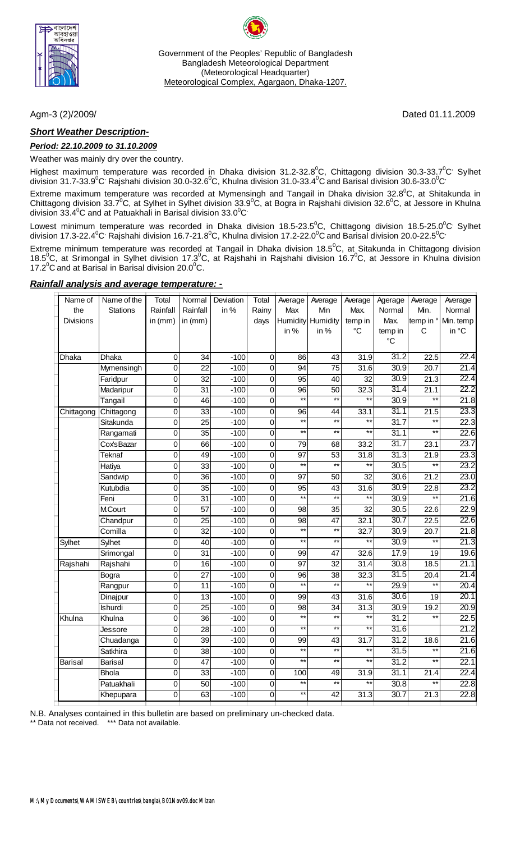

Government of the Peoples' Republic of Bangladesh Bangladesh Meteorological Department (Meteorological Headquarter) Meteorological Complex, Agargaon, Dhaka-1207.

### *Short Weather Description-*

#### *Period: 22.10.2009 to 31.10.2009*

Weather was mainly dry over the country.

Highest maximum temperature was recorded in Dhaka division 31.2-32.8<sup>0</sup>C, Chittagong division 30.3-33.7<sup>0</sup>C<sup>,</sup> Sylhet division 31.7-33.9 $^0$ C<sup>,</sup> Rajshahi division 30.0-32.6 $^0$ C, Khulna division 31.0-33.4 $^0$ C and Barisal division 30.6-33.0 $^0$ C $^{\circ}$ 

Extreme maximum temperature was recorded at Mymensingh and Tangail in Dhaka division 32.8<sup>0</sup>C, at Shitakunda in Chittagong division 33.7<sup>0</sup>C, at Sylhet in Sylhet division 33.9<sup>0</sup>C, at Bogra in Rajshahi division 32.6<sup>0</sup>C, at Jessore in Khulna division 33.4 $^0$ C and at Patuakhali in Barisal division 33.0 $^0$ C $^{\circ}$ 

Lowest minimum temperature was recorded in Dhaka division 18.5-23.5<sup>0</sup>C, Chittagong division 18.5-25.0<sup>0</sup>C<sup>,</sup> Sylhet division 17.3-22.4 $^0$ C<sup>,</sup> Rajshahi division 16.7-21.8 $^0$ C, Khulna division 17.2-22.0 $^0$ C and Barisal division 20.0-22.5 $^0$ C $^{\circ}$ 

Extreme minimum temperature was recorded at Tangail in Dhaka division 18.5 $^0$ C, at Sitakunda in Chittagong division 18.5<sup>0</sup>C, at Srimongal in Sylhet division 17.3<sup>0</sup>C, at Rajshahi in Rajshahi division 16.7<sup>0</sup>C, at Jessore in Khulna division 17.2 $\mathrm{^0C}$  and at Barisal in Barisal division 20.0 $\mathrm{^0C}$ .

#### *Rainfall analysis and average temperature: -*

| Name of          | Name of the     | Total          | Normal          | Deviation | Total          | Average         | Average                  | Average         | Agerage         | Average           | Average   |
|------------------|-----------------|----------------|-----------------|-----------|----------------|-----------------|--------------------------|-----------------|-----------------|-------------------|-----------|
| the              | <b>Stations</b> | Rainfall       | Rainfall        | in %      | Rainy          | Max             | Min                      | Max.            | Normal          | Min.              | Normal    |
| <b>Divisions</b> |                 | in $(mm)$      | in $(mm)$       |           | days           | Humidity        | Humidity                 | temp in         | Max.            | temp in °         | Min. temp |
|                  |                 |                |                 |           |                | in $%$          | in %                     | °C              | temp in         | C                 | in °C     |
|                  |                 |                |                 |           |                |                 |                          |                 | $\rm ^{\circ}C$ |                   |           |
| Dhaka            | <b>Dhaka</b>    | $\mathbf 0$    | 34              | $-100$    | 0              | 86              | 43                       | 31.9            | 31.2            | 22.5              | 22.4      |
|                  | Mymensingh      | $\mathbf 0$    | 22              | $-100$    | $\mathbf 0$    | 94              | 75                       | 31.6            | 30.9            | 20.7              | 21.4      |
|                  | Faridpur        | $\mathbf 0$    | $\overline{32}$ | $-100$    | $\mathbf 0$    | $\overline{95}$ | 40                       | $\overline{32}$ | 30.9            | $\overline{21.3}$ | 22.4      |
|                  | Madaripur       | $\mathbf 0$    | 31              | $-100$    | $\mathbf 0$    | $\overline{96}$ | $\overline{50}$          | 32.3            | 31.4            | 21.1              | 22.2      |
|                  | Tangail         | $\mathbf 0$    | 46              | $-100$    | $\mathbf 0$    | $\overline{**}$ | $\overline{\phantom{1}}$ | $\overline{}$   | 30.9            | $\overline{}$     | 21.8      |
| Chittagong       | Chittagong      | $\mathbf 0$    | $\overline{33}$ | $-100$    | $\mathbf 0$    | 96              | 44                       | 33.1            | 31.1            | 21.5              | 23.3      |
|                  | Sitakunda       | $\mathbf 0$    | $\overline{25}$ | $-100$    | $\overline{0}$ | $**$            | $\overline{\phantom{1}}$ | $\star\star$    | 31.7            | $\overline{}$     | 22.3      |
|                  | Rangamati       | $\overline{0}$ | $\overline{35}$ | $-100$    | $\overline{0}$ | $**$            | $\overline{**}$          | $\ast\ast$      | 31.1            | $**$              | 22.6      |
|                  | CoxsBazar       | $\overline{0}$ | 66              | $-100$    | $\overline{0}$ | 79              | 68                       | 33.2            | 31.7            | 23.1              | 23.7      |
|                  | <b>Teknaf</b>   | $\mathbf 0$    | 49              | $-100$    | $\mathbf 0$    | 97              | $\overline{53}$          | 31.8            | 31.3            | 21.9              | 23.3      |
|                  | Hatiya          | $\mathbf 0$    | 33              | $-100$    | $\mathbf 0$    | $*$             | $**$                     | $\ddot{x}$      | 30.5            | $\ddot{x}$        | 23.2      |
|                  | Sandwip         | $\mathbf 0$    | 36              | $-100$    | $\mathbf 0$    | 97              | 50                       | 32              | 30.6            | 21.2              | 23.0      |
|                  | Kutubdia        | $\mathbf 0$    | 35              | $-100$    | $\overline{0}$ | $\overline{95}$ | $\overline{43}$          | 31.6            | 30.9            | 22.8              | 23.2      |
|                  | Feni            | $\mathbf 0$    | $\overline{31}$ | $-100$    | $\mathbf 0$    | $\star\star$    | $\overline{**}$          | $\ddot{x}$      | 30.9            | $**$              | 21.6      |
|                  | <b>M.Court</b>  | $\mathbf 0$    | 57              | $-100$    | $\mathbf 0$    | 98              | 35                       | 32              | 30.5            | 22.6              | 22.9      |
|                  | Chandpur        | $\mathbf 0$    | $\overline{25}$ | $-100$    | $\mathbf 0$    | $\overline{98}$ | $\overline{47}$          | 32.1            | 30.7            | 22.5              | 22.6      |
|                  | Comilla         | $\overline{0}$ | $\overline{32}$ | $-100$    | $\mathbf 0$    | $**$            | $**$                     | 32.7            | 30.9            | 20.7              | 21.8      |
| Sylhet           | <b>Sylhet</b>   | $\mathbf 0$    | 40              | $-100$    | $\overline{0}$ | $**$            | $**$                     | $\star\star$    | 30.9            | $**$              | 21.3      |
|                  | Srimongal       | $\mathbf 0$    | $\overline{31}$ | $-100$    | $\overline{0}$ | 99              | $\overline{47}$          | 32.6            | 17.9            | $\overline{19}$   | 19.6      |
| Rajshahi         | Rajshahi        | $\mathbf 0$    | 16              | $-100$    | $\mathbf 0$    | $\overline{97}$ | 32                       | 31.4            | 30.8            | 18.5              | 21.1      |
|                  | Bogra           | $\mathbf 0$    | $\overline{27}$ | $-100$    | $\overline{0}$ | $\overline{96}$ | $\overline{38}$          | 32.3            | 31.5            | 20.4              | 21.4      |
|                  | Rangpur         | $\mathbf 0$    | $\overline{11}$ | $-100$    | $\overline{0}$ | $**$            | $**$                     | $\star\star$    | 29.9            | $\star\star$      | 20.4      |
|                  | Dinajpur        | $\mathbf 0$    | 13              | $-100$    | $\overline{0}$ | 99              | $\overline{43}$          | 31.6            | 30.6            | $\overline{19}$   | 20.1      |
|                  | <b>Ishurdi</b>  | $\mathbf 0$    | $\overline{25}$ | $-100$    | $\mathbf 0$    | $\overline{98}$ | 34                       | 31.3            | 30.9            | 19.2              | 20.9      |
| Khulna           | Khulna          | $\mathbf 0$    | 36              | $-100$    | $\mathbf 0$    | $\overline{**}$ | $\overline{**}$          | $\overline{}$   | 31.2            | $\overline{}$     | 22.5      |
|                  | Jessore         | $\mathbf 0$    | 28              | $-100$    | $\mathbf 0$    | $\overline{**}$ | $\overline{**}$          | $\overline{}$   | 31.6            |                   | 21.2      |
|                  | Chuadanga       | $\mathbf 0$    | 39              | $-100$    | $\pmb{0}$      | 99              | 43                       | 31.7            | 31.2            | 18.6              | 21.6      |
|                  | Satkhira        | 0              | $\overline{38}$ | $-100$    | $\pmb{0}$      | $**$            | $**$                     | $*$             | 31.5            | $\star\star$      | 21.6      |
| <b>Barisal</b>   | <b>Barisal</b>  | 0              | 47              | $-100$    | $\pmb{0}$      | $*$             | $\star\star$             | $\star\star$    | 31.2            | $**$              | 22.1      |
|                  | <b>Bhola</b>    | 0              | $\overline{33}$ | $-100$    | $\mathbf 0$    | 100             | 49                       | 31.9            | 31.1            | 21.4              | 22.4      |
|                  | Patuakhali      | 0              | $\overline{50}$ | $-100$    | 0              | $**$            | $***$                    | $^{\ast\ast}$   | 30.8            | $**$              | 22.8      |
|                  | Khepupara       | $\mathbf 0$    | 63              | $-100$    | 0              | $***$           | 42                       | 31.3            | 30.7            | 21.3              | 22.8      |
|                  |                 |                |                 |           |                |                 |                          |                 |                 |                   |           |

N.B. Analyses contained in this bulletin are based on preliminary un-checked data.

\*\* Data not received. \*\*\* Data not available.

Agm-3 (2)/2009/ Dated 01.11.2009